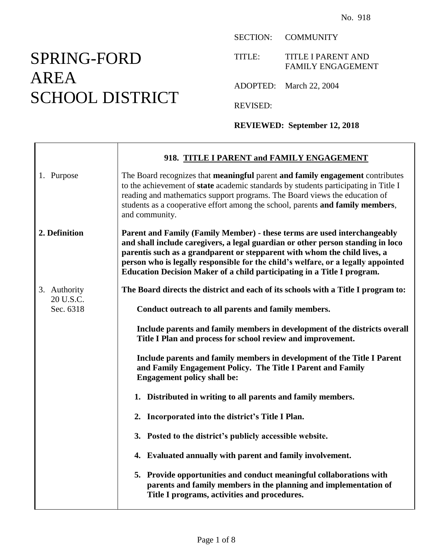## SPRING-FORD AREA SCHOOL DISTRICT

SECTION: COMMUNITY

TITLE: TITLE I PARENT AND FAMILY ENGAGEMENT

ADOPTED: March 22, 2004

REVISED:

**REVIEWED: September 12, 2018**

|                        | 918. TITLE I PARENT and FAMILY ENGAGEMENT                                                                                                                                                                                                                                                                                                                                                                |
|------------------------|----------------------------------------------------------------------------------------------------------------------------------------------------------------------------------------------------------------------------------------------------------------------------------------------------------------------------------------------------------------------------------------------------------|
| 1. Purpose             | The Board recognizes that meaningful parent and family engagement contributes<br>to the achievement of state academic standards by students participating in Title I<br>reading and mathematics support programs. The Board views the education of<br>students as a cooperative effort among the school, parents and family members,<br>and community.                                                   |
| 2. Definition          | Parent and Family (Family Member) - these terms are used interchangeably<br>and shall include caregivers, a legal guardian or other person standing in loco<br>parentis such as a grandparent or stepparent with whom the child lives, a<br>person who is legally responsible for the child's welfare, or a legally appointed<br>Education Decision Maker of a child participating in a Title I program. |
| 3. Authority           | The Board directs the district and each of its schools with a Title I program to:                                                                                                                                                                                                                                                                                                                        |
| 20 U.S.C.<br>Sec. 6318 | Conduct outreach to all parents and family members.                                                                                                                                                                                                                                                                                                                                                      |
|                        | Include parents and family members in development of the districts overall<br>Title I Plan and process for school review and improvement.                                                                                                                                                                                                                                                                |
|                        | Include parents and family members in development of the Title I Parent<br>and Family Engagement Policy. The Title I Parent and Family<br><b>Engagement policy shall be:</b>                                                                                                                                                                                                                             |
|                        | 1. Distributed in writing to all parents and family members.                                                                                                                                                                                                                                                                                                                                             |
|                        | 2. Incorporated into the district's Title I Plan.                                                                                                                                                                                                                                                                                                                                                        |
|                        | 3. Posted to the district's publicly accessible website.                                                                                                                                                                                                                                                                                                                                                 |
|                        | 4. Evaluated annually with parent and family involvement.                                                                                                                                                                                                                                                                                                                                                |
|                        | 5. Provide opportunities and conduct meaningful collaborations with<br>parents and family members in the planning and implementation of<br>Title I programs, activities and procedures.                                                                                                                                                                                                                  |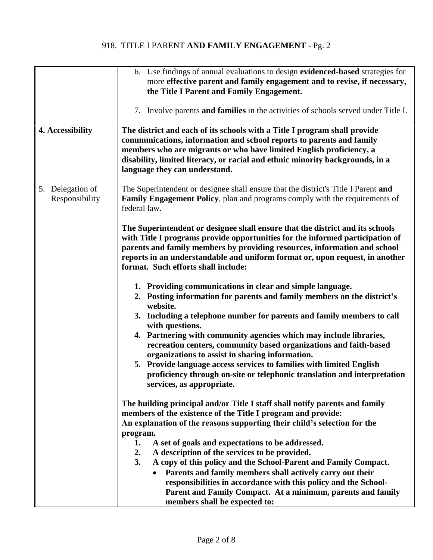## 918. TITLE I PARENT **AND FAMILY ENGAGEMENT** - Pg. 2

|                                    | 6. Use findings of annual evaluations to design evidenced-based strategies for<br>more effective parent and family engagement and to revise, if necessary,<br>the Title I Parent and Family Engagement.                                                                                                                                                                                                                                                                                                                                                                                                                                                                                                                                                                                                                                                                                                                                                                                                                                                                                                                                                                                                                                                                                       |
|------------------------------------|-----------------------------------------------------------------------------------------------------------------------------------------------------------------------------------------------------------------------------------------------------------------------------------------------------------------------------------------------------------------------------------------------------------------------------------------------------------------------------------------------------------------------------------------------------------------------------------------------------------------------------------------------------------------------------------------------------------------------------------------------------------------------------------------------------------------------------------------------------------------------------------------------------------------------------------------------------------------------------------------------------------------------------------------------------------------------------------------------------------------------------------------------------------------------------------------------------------------------------------------------------------------------------------------------|
| 4. Accessibility                   | 7. Involve parents and families in the activities of schools served under Title I.<br>The district and each of its schools with a Title I program shall provide<br>communications, information and school reports to parents and family<br>members who are migrants or who have limited English proficiency, a<br>disability, limited literacy, or racial and ethnic minority backgrounds, in a<br>language they can understand.                                                                                                                                                                                                                                                                                                                                                                                                                                                                                                                                                                                                                                                                                                                                                                                                                                                              |
| 5. Delegation of<br>Responsibility | The Superintendent or designee shall ensure that the district's Title I Parent and<br><b>Family Engagement Policy, plan and programs comply with the requirements of</b><br>federal law.                                                                                                                                                                                                                                                                                                                                                                                                                                                                                                                                                                                                                                                                                                                                                                                                                                                                                                                                                                                                                                                                                                      |
|                                    | The Superintendent or designee shall ensure that the district and its schools<br>with Title I programs provide opportunities for the informed participation of<br>parents and family members by providing resources, information and school<br>reports in an understandable and uniform format or, upon request, in another<br>format. Such efforts shall include:                                                                                                                                                                                                                                                                                                                                                                                                                                                                                                                                                                                                                                                                                                                                                                                                                                                                                                                            |
|                                    | 1. Providing communications in clear and simple language.<br>2. Posting information for parents and family members on the district's<br>website.<br>3. Including a telephone number for parents and family members to call<br>with questions.<br>4. Partnering with community agencies which may include libraries,<br>recreation centers, community based organizations and faith-based<br>organizations to assist in sharing information.<br>5. Provide language access services to families with limited English<br>proficiency through on-site or telephonic translation and interpretation<br>services, as appropriate.<br>The building principal and/or Title I staff shall notify parents and family<br>members of the existence of the Title I program and provide:<br>An explanation of the reasons supporting their child's selection for the<br>program.<br>1.<br>A set of goals and expectations to be addressed.<br>A description of the services to be provided.<br>2.<br>3.<br>A copy of this policy and the School-Parent and Family Compact.<br>Parents and family members shall actively carry out their<br>responsibilities in accordance with this policy and the School-<br>Parent and Family Compact. At a minimum, parents and family<br>members shall be expected to: |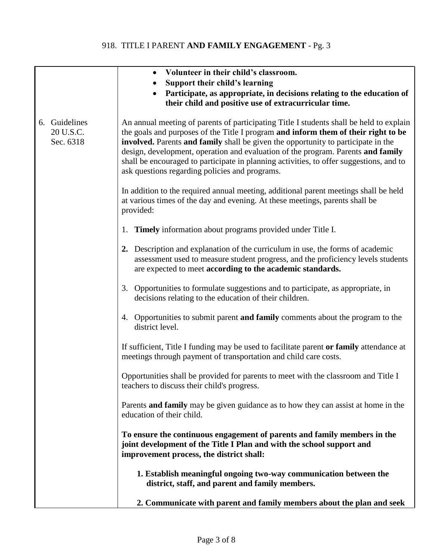## 918. TITLE I PARENT **AND FAMILY ENGAGEMENT** - Pg. 3

|                                         | Volunteer in their child's classroom.<br>$\bullet$                                                                                                                                                                                                                                                                                                                                                                                                                                                  |
|-----------------------------------------|-----------------------------------------------------------------------------------------------------------------------------------------------------------------------------------------------------------------------------------------------------------------------------------------------------------------------------------------------------------------------------------------------------------------------------------------------------------------------------------------------------|
|                                         | Support their child's learning                                                                                                                                                                                                                                                                                                                                                                                                                                                                      |
|                                         | Participate, as appropriate, in decisions relating to the education of<br>their child and positive use of extracurricular time.                                                                                                                                                                                                                                                                                                                                                                     |
| 6. Guidelines<br>20 U.S.C.<br>Sec. 6318 | An annual meeting of parents of participating Title I students shall be held to explain<br>the goals and purposes of the Title I program and inform them of their right to be<br>involved. Parents and family shall be given the opportunity to participate in the<br>design, development, operation and evaluation of the program. Parents and family<br>shall be encouraged to participate in planning activities, to offer suggestions, and to<br>ask questions regarding policies and programs. |
|                                         | In addition to the required annual meeting, additional parent meetings shall be held<br>at various times of the day and evening. At these meetings, parents shall be<br>provided:                                                                                                                                                                                                                                                                                                                   |
|                                         | 1. Timely information about programs provided under Title I.                                                                                                                                                                                                                                                                                                                                                                                                                                        |
|                                         | 2. Description and explanation of the curriculum in use, the forms of academic<br>assessment used to measure student progress, and the proficiency levels students<br>are expected to meet according to the academic standards.                                                                                                                                                                                                                                                                     |
|                                         | Opportunities to formulate suggestions and to participate, as appropriate, in<br>3.<br>decisions relating to the education of their children.                                                                                                                                                                                                                                                                                                                                                       |
|                                         | 4. Opportunities to submit parent and family comments about the program to the<br>district level.                                                                                                                                                                                                                                                                                                                                                                                                   |
|                                         | If sufficient, Title I funding may be used to facilitate parent or family attendance at<br>meetings through payment of transportation and child care costs.                                                                                                                                                                                                                                                                                                                                         |
|                                         | Opportunities shall be provided for parents to meet with the classroom and Title I<br>teachers to discuss their child's progress.                                                                                                                                                                                                                                                                                                                                                                   |
|                                         | Parents and family may be given guidance as to how they can assist at home in the<br>education of their child.                                                                                                                                                                                                                                                                                                                                                                                      |
|                                         | To ensure the continuous engagement of parents and family members in the<br>joint development of the Title I Plan and with the school support and<br>improvement process, the district shall:                                                                                                                                                                                                                                                                                                       |
|                                         | 1. Establish meaningful ongoing two-way communication between the<br>district, staff, and parent and family members.                                                                                                                                                                                                                                                                                                                                                                                |
|                                         | 2. Communicate with parent and family members about the plan and seek                                                                                                                                                                                                                                                                                                                                                                                                                               |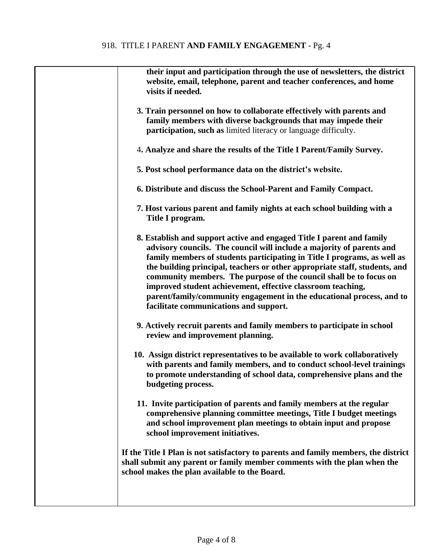| their input and participation through the use of newsletters, the district<br>website, email, telephone, parent and teacher conferences, and home<br>visits if needed.                                                                                                                                                                                                                                                                                                                                                                                           |
|------------------------------------------------------------------------------------------------------------------------------------------------------------------------------------------------------------------------------------------------------------------------------------------------------------------------------------------------------------------------------------------------------------------------------------------------------------------------------------------------------------------------------------------------------------------|
| 3. Train personnel on how to collaborate effectively with parents and<br>family members with diverse backgrounds that may impede their<br>participation, such as limited literacy or language difficulty.                                                                                                                                                                                                                                                                                                                                                        |
| 4. Analyze and share the results of the Title I Parent/Family Survey.                                                                                                                                                                                                                                                                                                                                                                                                                                                                                            |
| 5. Post school performance data on the district's website.                                                                                                                                                                                                                                                                                                                                                                                                                                                                                                       |
| 6. Distribute and discuss the School-Parent and Family Compact.                                                                                                                                                                                                                                                                                                                                                                                                                                                                                                  |
| 7. Host various parent and family nights at each school building with a<br>Title I program.                                                                                                                                                                                                                                                                                                                                                                                                                                                                      |
| 8. Establish and support active and engaged Title I parent and family<br>advisory councils. The council will include a majority of parents and<br>family members of students participating in Title I programs, as well as<br>the building principal, teachers or other appropriate staff, students, and<br>community members. The purpose of the council shall be to focus on<br>improved student achievement, effective classroom teaching,<br>parent/family/community engagement in the educational process, and to<br>facilitate communications and support. |
| 9. Actively recruit parents and family members to participate in school<br>review and improvement planning.                                                                                                                                                                                                                                                                                                                                                                                                                                                      |
| 10. Assign district representatives to be available to work collaboratively<br>with parents and family members, and to conduct school-level trainings<br>to promote understanding of school data, comprehensive plans and the<br>budgeting process.                                                                                                                                                                                                                                                                                                              |
| 11. Invite participation of parents and family members at the regular<br>comprehensive planning committee meetings, Title I budget meetings<br>and school improvement plan meetings to obtain input and propose<br>school improvement initiatives.                                                                                                                                                                                                                                                                                                               |
| If the Title I Plan is not satisfactory to parents and family members, the district<br>shall submit any parent or family member comments with the plan when the<br>school makes the plan available to the Board.                                                                                                                                                                                                                                                                                                                                                 |
|                                                                                                                                                                                                                                                                                                                                                                                                                                                                                                                                                                  |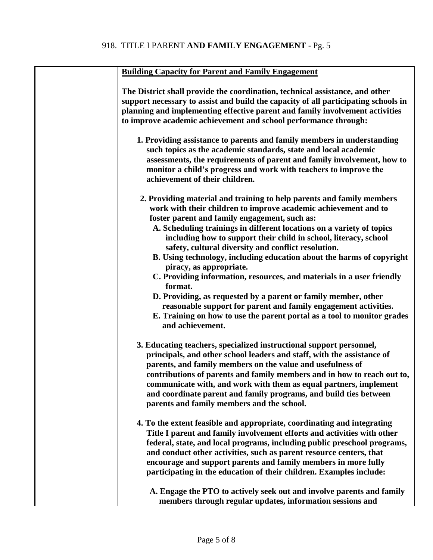| <b>Building Capacity for Parent and Family Engagement</b>                                                                                                                                                                                                                                                                                                                                                                                                                                                                                                                                                                                                                                                                                                                                                                 |
|---------------------------------------------------------------------------------------------------------------------------------------------------------------------------------------------------------------------------------------------------------------------------------------------------------------------------------------------------------------------------------------------------------------------------------------------------------------------------------------------------------------------------------------------------------------------------------------------------------------------------------------------------------------------------------------------------------------------------------------------------------------------------------------------------------------------------|
| The District shall provide the coordination, technical assistance, and other<br>support necessary to assist and build the capacity of all participating schools in<br>planning and implementing effective parent and family involvement activities<br>to improve academic achievement and school performance through:                                                                                                                                                                                                                                                                                                                                                                                                                                                                                                     |
| 1. Providing assistance to parents and family members in understanding<br>such topics as the academic standards, state and local academic<br>assessments, the requirements of parent and family involvement, how to<br>monitor a child's progress and work with teachers to improve the<br>achievement of their children.                                                                                                                                                                                                                                                                                                                                                                                                                                                                                                 |
| 2. Providing material and training to help parents and family members<br>work with their children to improve academic achievement and to<br>foster parent and family engagement, such as:<br>A. Scheduling trainings in different locations on a variety of topics<br>including how to support their child in school, literacy, school<br>safety, cultural diversity and conflict resolution.<br>B. Using technology, including education about the harms of copyright<br>piracy, as appropriate.<br>C. Providing information, resources, and materials in a user friendly<br>format.<br>D. Providing, as requested by a parent or family member, other<br>reasonable support for parent and family engagement activities.<br>E. Training on how to use the parent portal as a tool to monitor grades<br>and achievement. |
| 3. Educating teachers, specialized instructional support personnel,<br>principals, and other school leaders and staff, with the assistance of<br>parents, and family members on the value and usefulness of<br>contributions of parents and family members and in how to reach out to,<br>communicate with, and work with them as equal partners, implement<br>and coordinate parent and family programs, and build ties between<br>parents and family members and the school.                                                                                                                                                                                                                                                                                                                                            |
| 4. To the extent feasible and appropriate, coordinating and integrating<br>Title I parent and family involvement efforts and activities with other<br>federal, state, and local programs, including public preschool programs,<br>and conduct other activities, such as parent resource centers, that<br>encourage and support parents and family members in more fully<br>participating in the education of their children. Examples include:                                                                                                                                                                                                                                                                                                                                                                            |
| A. Engage the PTO to actively seek out and involve parents and family<br>members through regular updates, information sessions and                                                                                                                                                                                                                                                                                                                                                                                                                                                                                                                                                                                                                                                                                        |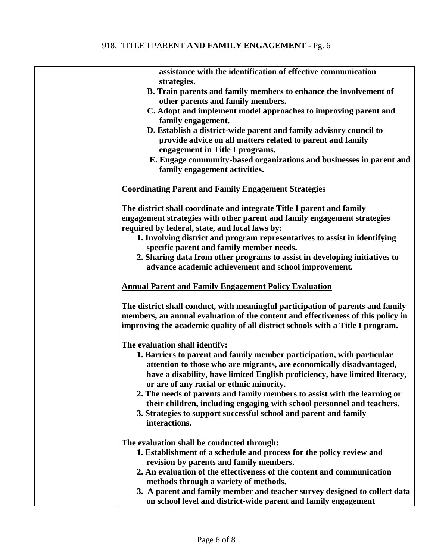| assistance with the identification of effective communication                                                                              |
|--------------------------------------------------------------------------------------------------------------------------------------------|
| strategies.                                                                                                                                |
| B. Train parents and family members to enhance the involvement of                                                                          |
| other parents and family members.                                                                                                          |
| C. Adopt and implement model approaches to improving parent and<br>family engagement.                                                      |
| D. Establish a district-wide parent and family advisory council to                                                                         |
| provide advice on all matters related to parent and family                                                                                 |
| engagement in Title I programs.                                                                                                            |
| E. Engage community-based organizations and businesses in parent and                                                                       |
| family engagement activities.                                                                                                              |
|                                                                                                                                            |
| <b>Coordinating Parent and Family Engagement Strategies</b>                                                                                |
| The district shall coordinate and integrate Title I parent and family                                                                      |
| engagement strategies with other parent and family engagement strategies                                                                   |
| required by federal, state, and local laws by:                                                                                             |
| 1. Involving district and program representatives to assist in identifying                                                                 |
| specific parent and family member needs.                                                                                                   |
| 2. Sharing data from other programs to assist in developing initiatives to                                                                 |
| advance academic achievement and school improvement.                                                                                       |
| <b>Annual Parent and Family Engagement Policy Evaluation</b>                                                                               |
|                                                                                                                                            |
| The district shall conduct, with meaningful participation of parents and family                                                            |
| members, an annual evaluation of the content and effectiveness of this policy in                                                           |
| improving the academic quality of all district schools with a Title I program.                                                             |
|                                                                                                                                            |
| The evaluation shall identify:                                                                                                             |
| 1. Barriers to parent and family member participation, with particular                                                                     |
| attention to those who are migrants, are economically disadvantaged,                                                                       |
| have a disability, have limited English proficiency, have limited literacy,                                                                |
| or are of any racial or ethnic minority.                                                                                                   |
| 2. The needs of parents and family members to assist with the learning or                                                                  |
| their children, including engaging with school personnel and teachers.<br>3. Strategies to support successful school and parent and family |
| interactions.                                                                                                                              |
|                                                                                                                                            |
| The evaluation shall be conducted through:                                                                                                 |
| 1. Establishment of a schedule and process for the policy review and                                                                       |
| revision by parents and family members.                                                                                                    |
| 2. An evaluation of the effectiveness of the content and communication                                                                     |
| methods through a variety of methods.                                                                                                      |
| 3. A parent and family member and teacher survey designed to collect data                                                                  |
| on school level and district-wide parent and family engagement                                                                             |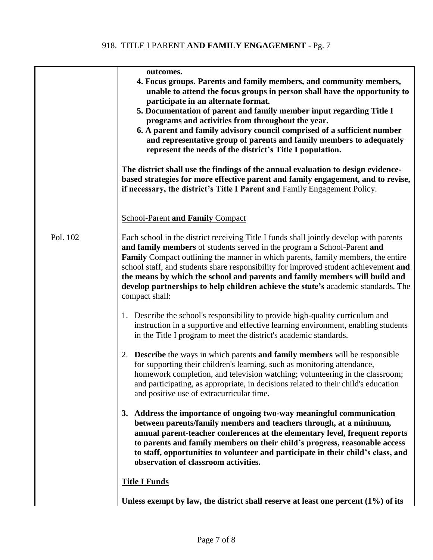|          | outcomes.<br>4. Focus groups. Parents and family members, and community members,<br>unable to attend the focus groups in person shall have the opportunity to<br>participate in an alternate format.<br>5. Documentation of parent and family member input regarding Title I<br>programs and activities from throughout the year.<br>6. A parent and family advisory council comprised of a sufficient number<br>and representative group of parents and family members to adequately<br>represent the needs of the district's Title I population. |
|----------|----------------------------------------------------------------------------------------------------------------------------------------------------------------------------------------------------------------------------------------------------------------------------------------------------------------------------------------------------------------------------------------------------------------------------------------------------------------------------------------------------------------------------------------------------|
|          | The district shall use the findings of the annual evaluation to design evidence-<br>based strategies for more effective parent and family engagement, and to revise,<br>if necessary, the district's Title I Parent and Family Engagement Policy.                                                                                                                                                                                                                                                                                                  |
|          | <b>School-Parent and Family Compact</b>                                                                                                                                                                                                                                                                                                                                                                                                                                                                                                            |
| Pol. 102 | Each school in the district receiving Title I funds shall jointly develop with parents<br>and family members of students served in the program a School-Parent and<br><b>Family</b> Compact outlining the manner in which parents, family members, the entire<br>school staff, and students share responsibility for improved student achievement and<br>the means by which the school and parents and family members will build and<br>develop partnerships to help children achieve the state's academic standards. The<br>compact shall:        |
|          | 1. Describe the school's responsibility to provide high-quality curriculum and<br>instruction in a supportive and effective learning environment, enabling students<br>in the Title I program to meet the district's academic standards.                                                                                                                                                                                                                                                                                                           |
|          | <b>Describe</b> the ways in which parents <b>and family members</b> will be responsible<br>2.<br>for supporting their children's learning, such as monitoring attendance,<br>homework completion, and television watching; volunteering in the classroom;<br>and participating, as appropriate, in decisions related to their child's education<br>and positive use of extracurricular time.                                                                                                                                                       |
|          | 3. Address the importance of ongoing two-way meaningful communication<br>between parents/family members and teachers through, at a minimum,<br>annual parent-teacher conferences at the elementary level, frequent reports<br>to parents and family members on their child's progress, reasonable access<br>to staff, opportunities to volunteer and participate in their child's class, and<br>observation of classroom activities.                                                                                                               |
|          | <b>Title I Funds</b>                                                                                                                                                                                                                                                                                                                                                                                                                                                                                                                               |
|          | Unless exempt by law, the district shall reserve at least one percent $(1\%)$ of its                                                                                                                                                                                                                                                                                                                                                                                                                                                               |